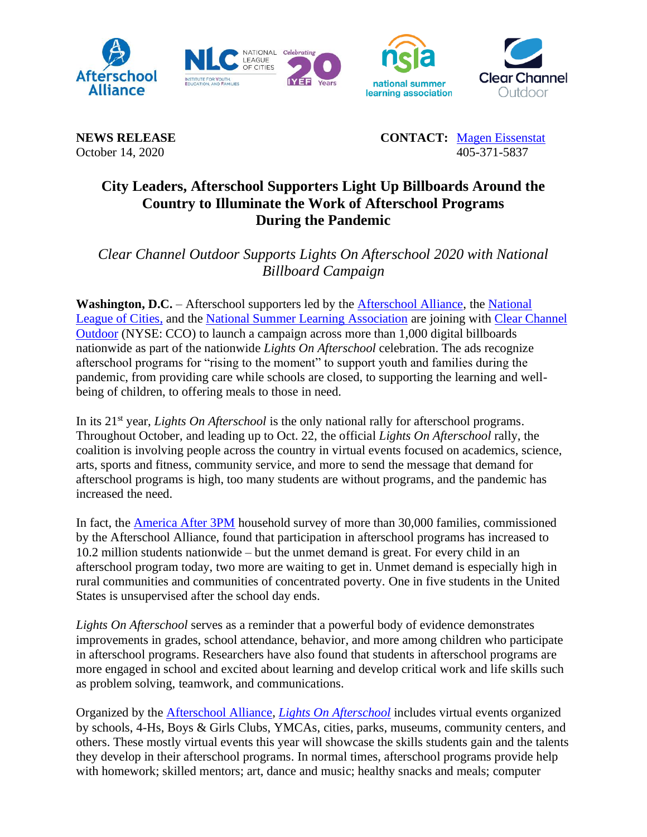

**NEWS RELEASE CONTACT:** [Magen Eissenstat](mailto:magen@prsolutionsdc.com) October 14, 2020 405-371-5837

## **City Leaders, Afterschool Supporters Light Up Billboards Around the Country to Illuminate the Work of Afterschool Programs During the Pandemic**

*Clear Channel Outdoor Supports Lights On Afterschool 2020 with National Billboard Campaign*

**Washington, D.C.** – Afterschool supporters led by the [Afterschool Alliance,](http://www.afterschoolalliance.org/) the [National](http://www.nlc.org/)  [League of Cities,](http://www.nlc.org/) and the [National Summer Learning Association](http://www.summerlearning.org/) are joining with [Clear Channel](http://www.clearchanneloutdoor.com/)  [Outdoor](http://www.clearchanneloutdoor.com/) (NYSE: CCO) to launch a campaign across more than 1,000 digital billboards nationwide as part of the nationwide *Lights On Afterschool* celebration. The ads recognize afterschool programs for "rising to the moment" to support youth and families during the pandemic, from providing care while schools are closed, to supporting the learning and wellbeing of children, to offering meals to those in need*.*

In its 21<sup>st</sup> year, *Lights On Afterschool* is the only national rally for afterschool programs. Throughout October, and leading up to Oct. 22, the official *Lights On Afterschool* rally, the coalition is involving people across the country in virtual events focused on academics, science, arts, sports and fitness, community service, and more to send the message that demand for afterschool programs is high, too many students are without programs, and the pandemic has increased the need.

In fact, the [America After 3PM](http://www.afterschoolalliance.org/AA3PM/) household survey of more than 30,000 families, commissioned by the Afterschool Alliance, found that participation in afterschool programs has increased to 10.2 million students nationwide – but the unmet demand is great. For every child in an afterschool program today, two more are waiting to get in. Unmet demand is especially high in rural communities and communities of concentrated poverty. One in five students in the United States is unsupervised after the school day ends.

*Lights On Afterschool* serves as a reminder that a powerful body of evidence demonstrates improvements in grades, school attendance, behavior, and more among children who participate in afterschool programs. Researchers have also found that students in afterschool programs are more engaged in school and excited about learning and develop critical work and life skills such as problem solving, teamwork, and communications.

Organized by the [Afterschool Alliance,](http://www.afterschoolalliance.org/) *[Lights On Afterschool](http://www.afterschoolalliance.org/loa.cfm)* includes virtual events organized by schools, 4-Hs, Boys & Girls Clubs, YMCAs, cities, parks, museums, community centers, and others. These mostly virtual events this year will showcase the skills students gain and the talents they develop in their afterschool programs. In normal times, afterschool programs provide help with homework; skilled mentors; art, dance and music; healthy snacks and meals; computer